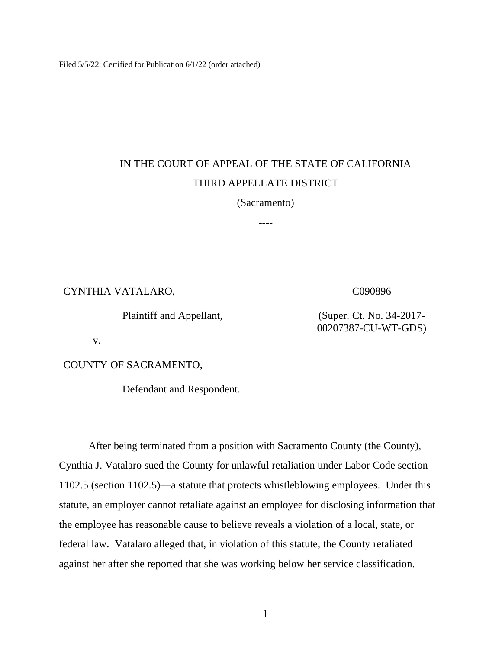Filed 5/5/22; Certified for Publication 6/1/22 (order attached)

# IN THE COURT OF APPEAL OF THE STATE OF CALIFORNIA THIRD APPELLATE DISTRICT

(Sacramento)

----

CYNTHIA VATALARO,

Plaintiff and Appellant,

C090896

(Super. Ct. No. 34-2017- 00207387-CU-WT-GDS)

v.

COUNTY OF SACRAMENTO,

Defendant and Respondent.

After being terminated from a position with Sacramento County (the County), Cynthia J. Vatalaro sued the County for unlawful retaliation under Labor Code section 1102.5 (section 1102.5)—a statute that protects whistleblowing employees. Under this statute, an employer cannot retaliate against an employee for disclosing information that the employee has reasonable cause to believe reveals a violation of a local, state, or federal law. Vatalaro alleged that, in violation of this statute, the County retaliated against her after she reported that she was working below her service classification.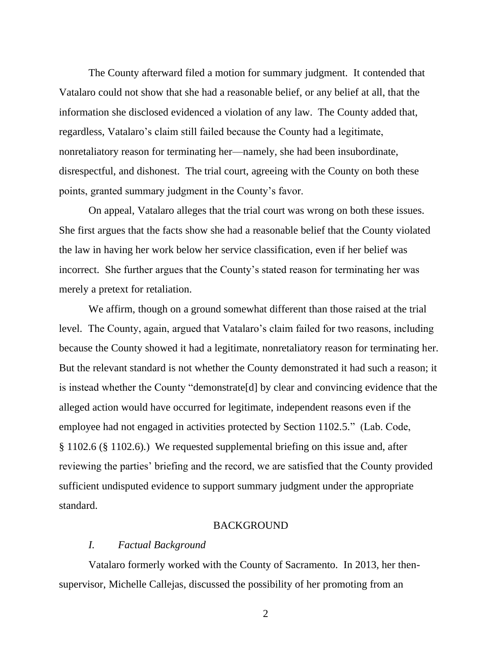The County afterward filed a motion for summary judgment. It contended that Vatalaro could not show that she had a reasonable belief, or any belief at all, that the information she disclosed evidenced a violation of any law. The County added that, regardless, Vatalaro's claim still failed because the County had a legitimate, nonretaliatory reason for terminating her—namely, she had been insubordinate, disrespectful, and dishonest. The trial court, agreeing with the County on both these points, granted summary judgment in the County's favor.

On appeal, Vatalaro alleges that the trial court was wrong on both these issues. She first argues that the facts show she had a reasonable belief that the County violated the law in having her work below her service classification, even if her belief was incorrect. She further argues that the County's stated reason for terminating her was merely a pretext for retaliation.

We affirm, though on a ground somewhat different than those raised at the trial level. The County, again, argued that Vatalaro's claim failed for two reasons, including because the County showed it had a legitimate, nonretaliatory reason for terminating her. But the relevant standard is not whether the County demonstrated it had such a reason; it is instead whether the County "demonstrate[d] by clear and convincing evidence that the alleged action would have occurred for legitimate, independent reasons even if the employee had not engaged in activities protected by Section 1102.5." (Lab. Code, § 1102.6 (§ 1102.6).) We requested supplemental briefing on this issue and, after reviewing the parties' briefing and the record, we are satisfied that the County provided sufficient undisputed evidence to support summary judgment under the appropriate standard.

## BACKGROUND

## *I. Factual Background*

Vatalaro formerly worked with the County of Sacramento. In 2013, her thensupervisor, Michelle Callejas, discussed the possibility of her promoting from an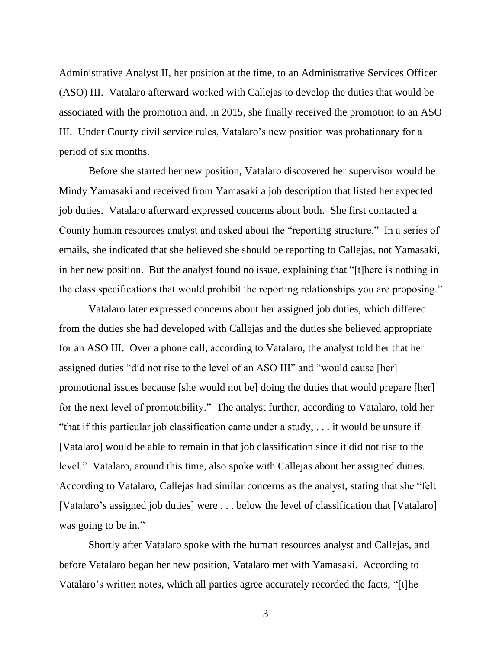Administrative Analyst II, her position at the time, to an Administrative Services Officer (ASO) III. Vatalaro afterward worked with Callejas to develop the duties that would be associated with the promotion and, in 2015, she finally received the promotion to an ASO III. Under County civil service rules, Vatalaro's new position was probationary for a period of six months.

Before she started her new position, Vatalaro discovered her supervisor would be Mindy Yamasaki and received from Yamasaki a job description that listed her expected job duties. Vatalaro afterward expressed concerns about both. She first contacted a County human resources analyst and asked about the "reporting structure." In a series of emails, she indicated that she believed she should be reporting to Callejas, not Yamasaki, in her new position. But the analyst found no issue, explaining that "[t]here is nothing in the class specifications that would prohibit the reporting relationships you are proposing."

Vatalaro later expressed concerns about her assigned job duties, which differed from the duties she had developed with Callejas and the duties she believed appropriate for an ASO III. Over a phone call, according to Vatalaro, the analyst told her that her assigned duties "did not rise to the level of an ASO III" and "would cause [her] promotional issues because [she would not be] doing the duties that would prepare [her] for the next level of promotability." The analyst further, according to Vatalaro, told her "that if this particular job classification came under a study, . . . it would be unsure if [Vatalaro] would be able to remain in that job classification since it did not rise to the level." Vatalaro, around this time, also spoke with Callejas about her assigned duties. According to Vatalaro, Callejas had similar concerns as the analyst, stating that she "felt [Vatalaro's assigned job duties] were ... below the level of classification that [Vatalaro] was going to be in."

Shortly after Vatalaro spoke with the human resources analyst and Callejas, and before Vatalaro began her new position, Vatalaro met with Yamasaki. According to Vatalaro's written notes, which all parties agree accurately recorded the facts, "[t]he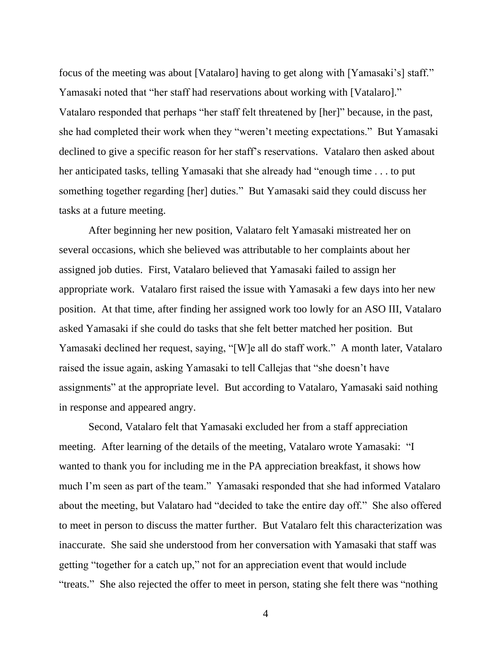focus of the meeting was about [Vatalaro] having to get along with [Yamasaki's] staff." Yamasaki noted that "her staff had reservations about working with [Vatalaro]." Vatalaro responded that perhaps "her staff felt threatened by [her]" because, in the past, she had completed their work when they "weren't meeting expectations." But Yamasaki declined to give a specific reason for her staff's reservations. Vatalaro then asked about her anticipated tasks, telling Yamasaki that she already had "enough time . . . to put something together regarding [her] duties." But Yamasaki said they could discuss her tasks at a future meeting.

After beginning her new position, Valataro felt Yamasaki mistreated her on several occasions, which she believed was attributable to her complaints about her assigned job duties. First, Vatalaro believed that Yamasaki failed to assign her appropriate work. Vatalaro first raised the issue with Yamasaki a few days into her new position. At that time, after finding her assigned work too lowly for an ASO III, Vatalaro asked Yamasaki if she could do tasks that she felt better matched her position. But Yamasaki declined her request, saying, "[W]e all do staff work." A month later, Vatalaro raised the issue again, asking Yamasaki to tell Callejas that "she doesn't have assignments" at the appropriate level. But according to Vatalaro, Yamasaki said nothing in response and appeared angry.

Second, Vatalaro felt that Yamasaki excluded her from a staff appreciation meeting. After learning of the details of the meeting, Vatalaro wrote Yamasaki: "I wanted to thank you for including me in the PA appreciation breakfast, it shows how much I'm seen as part of the team." Yamasaki responded that she had informed Vatalaro about the meeting, but Valataro had "decided to take the entire day off." She also offered to meet in person to discuss the matter further. But Vatalaro felt this characterization was inaccurate. She said she understood from her conversation with Yamasaki that staff was getting "together for a catch up," not for an appreciation event that would include "treats." She also rejected the offer to meet in person, stating she felt there was "nothing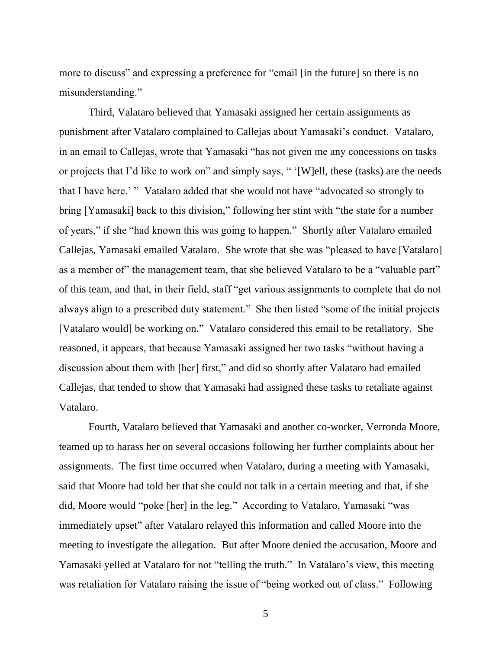more to discuss" and expressing a preference for "email [in the future] so there is no misunderstanding."

Third, Valataro believed that Yamasaki assigned her certain assignments as punishment after Vatalaro complained to Callejas about Yamasaki's conduct. Vatalaro, in an email to Callejas, wrote that Yamasaki "has not given me any concessions on tasks or projects that I'd like to work on" and simply says, " '[W]ell, these (tasks) are the needs that I have here.' " Vatalaro added that she would not have "advocated so strongly to bring [Yamasaki] back to this division," following her stint with "the state for a number of years," if she "had known this was going to happen." Shortly after Vatalaro emailed Callejas, Yamasaki emailed Vatalaro. She wrote that she was "pleased to have [Vatalaro] as a member of" the management team, that she believed Vatalaro to be a "valuable part" of this team, and that, in their field, staff "get various assignments to complete that do not always align to a prescribed duty statement." She then listed "some of the initial projects [Vatalaro would] be working on." Vatalaro considered this email to be retaliatory. She reasoned, it appears, that because Yamasaki assigned her two tasks "without having a discussion about them with [her] first," and did so shortly after Valataro had emailed Callejas, that tended to show that Yamasaki had assigned these tasks to retaliate against Vatalaro.

Fourth, Vatalaro believed that Yamasaki and another co-worker, Verronda Moore, teamed up to harass her on several occasions following her further complaints about her assignments. The first time occurred when Vatalaro, during a meeting with Yamasaki, said that Moore had told her that she could not talk in a certain meeting and that, if she did, Moore would "poke [her] in the leg." According to Vatalaro, Yamasaki "was immediately upset" after Vatalaro relayed this information and called Moore into the meeting to investigate the allegation. But after Moore denied the accusation, Moore and Yamasaki yelled at Vatalaro for not "telling the truth." In Vatalaro's view, this meeting was retaliation for Vatalaro raising the issue of "being worked out of class." Following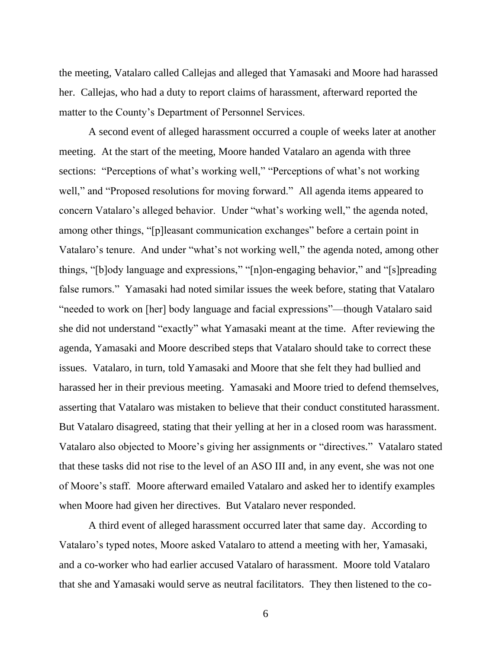the meeting, Vatalaro called Callejas and alleged that Yamasaki and Moore had harassed her. Callejas, who had a duty to report claims of harassment, afterward reported the matter to the County's Department of Personnel Services.

A second event of alleged harassment occurred a couple of weeks later at another meeting. At the start of the meeting, Moore handed Vatalaro an agenda with three sections: "Perceptions of what's working well," "Perceptions of what's not working well," and "Proposed resolutions for moving forward." All agenda items appeared to concern Vatalaro's alleged behavior. Under "what's working well," the agenda noted, among other things, "[p]leasant communication exchanges" before a certain point in Vatalaro's tenure. And under "what's not working well," the agenda noted, among other things, "[b]ody language and expressions," "[n]on-engaging behavior," and "[s]preading false rumors." Yamasaki had noted similar issues the week before, stating that Vatalaro "needed to work on [her] body language and facial expressions"—though Vatalaro said she did not understand "exactly" what Yamasaki meant at the time. After reviewing the agenda, Yamasaki and Moore described steps that Vatalaro should take to correct these issues. Vatalaro, in turn, told Yamasaki and Moore that she felt they had bullied and harassed her in their previous meeting. Yamasaki and Moore tried to defend themselves, asserting that Vatalaro was mistaken to believe that their conduct constituted harassment. But Vatalaro disagreed, stating that their yelling at her in a closed room was harassment. Vatalaro also objected to Moore's giving her assignments or "directives." Vatalaro stated that these tasks did not rise to the level of an ASO III and, in any event, she was not one of Moore's staff. Moore afterward emailed Vatalaro and asked her to identify examples when Moore had given her directives. But Vatalaro never responded.

A third event of alleged harassment occurred later that same day. According to Vatalaro's typed notes, Moore asked Vatalaro to attend a meeting with her, Yamasaki, and a co-worker who had earlier accused Vatalaro of harassment. Moore told Vatalaro that she and Yamasaki would serve as neutral facilitators. They then listened to the co-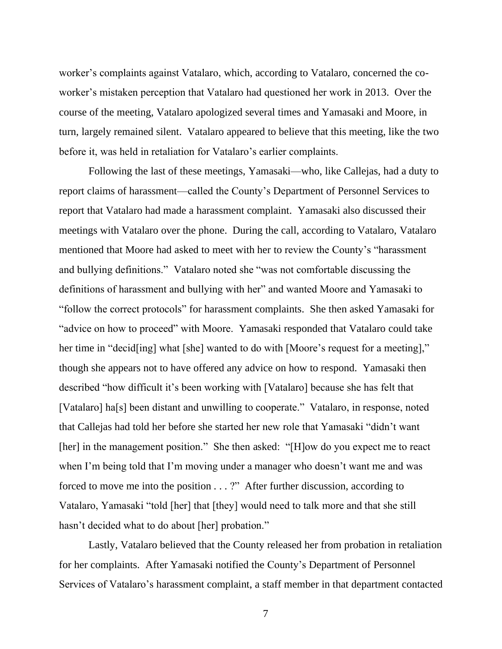worker's complaints against Vatalaro, which, according to Vatalaro, concerned the coworker's mistaken perception that Vatalaro had questioned her work in 2013. Over the course of the meeting, Vatalaro apologized several times and Yamasaki and Moore, in turn, largely remained silent. Vatalaro appeared to believe that this meeting, like the two before it, was held in retaliation for Vatalaro's earlier complaints.

Following the last of these meetings, Yamasaki—who, like Callejas, had a duty to report claims of harassment—called the County's Department of Personnel Services to report that Vatalaro had made a harassment complaint. Yamasaki also discussed their meetings with Vatalaro over the phone. During the call, according to Vatalaro, Vatalaro mentioned that Moore had asked to meet with her to review the County's "harassment and bullying definitions." Vatalaro noted she "was not comfortable discussing the definitions of harassment and bullying with her" and wanted Moore and Yamasaki to "follow the correct protocols" for harassment complaints. She then asked Yamasaki for "advice on how to proceed" with Moore. Yamasaki responded that Vatalaro could take her time in "decid[ing] what [she] wanted to do with [Moore's request for a meeting]," though she appears not to have offered any advice on how to respond. Yamasaki then described "how difficult it's been working with [Vatalaro] because she has felt that [Vatalaro] ha[s] been distant and unwilling to cooperate." Vatalaro, in response, noted that Callejas had told her before she started her new role that Yamasaki "didn't want [her] in the management position." She then asked: "[H]ow do you expect me to react when I'm being told that I'm moving under a manager who doesn't want me and was forced to move me into the position . . . ?" After further discussion, according to Vatalaro, Yamasaki "told [her] that [they] would need to talk more and that she still hasn't decided what to do about [her] probation."

Lastly, Vatalaro believed that the County released her from probation in retaliation for her complaints. After Yamasaki notified the County's Department of Personnel Services of Vatalaro's harassment complaint, a staff member in that department contacted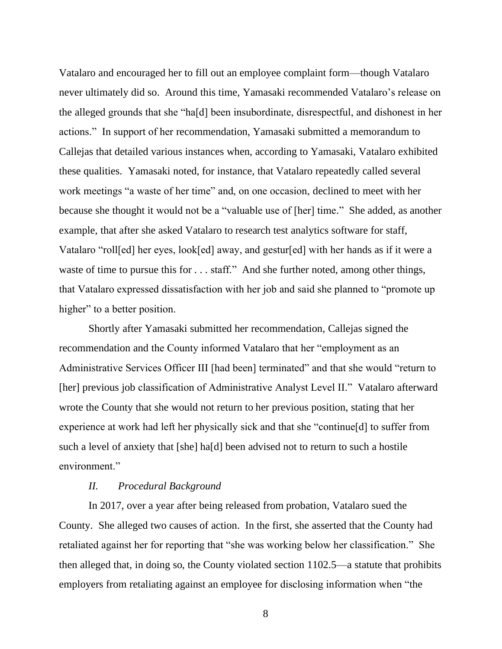Vatalaro and encouraged her to fill out an employee complaint form—though Vatalaro never ultimately did so. Around this time, Yamasaki recommended Vatalaro's release on the alleged grounds that she "ha[d] been insubordinate, disrespectful, and dishonest in her actions." In support of her recommendation, Yamasaki submitted a memorandum to Callejas that detailed various instances when, according to Yamasaki, Vatalaro exhibited these qualities. Yamasaki noted, for instance, that Vatalaro repeatedly called several work meetings "a waste of her time" and, on one occasion, declined to meet with her because she thought it would not be a "valuable use of [her] time." She added, as another example, that after she asked Vatalaro to research test analytics software for staff, Vatalaro "roll[ed] her eyes, look[ed] away, and gestur[ed] with her hands as if it were a waste of time to pursue this for . . . staff." And she further noted, among other things, that Vatalaro expressed dissatisfaction with her job and said she planned to "promote up higher" to a better position.

Shortly after Yamasaki submitted her recommendation, Callejas signed the recommendation and the County informed Vatalaro that her "employment as an Administrative Services Officer III [had been] terminated" and that she would "return to [her] previous job classification of Administrative Analyst Level II." Vatalaro afterward wrote the County that she would not return to her previous position, stating that her experience at work had left her physically sick and that she "continue[d] to suffer from such a level of anxiety that [she] ha[d] been advised not to return to such a hostile environment."

### *II. Procedural Background*

In 2017, over a year after being released from probation, Vatalaro sued the County. She alleged two causes of action. In the first, she asserted that the County had retaliated against her for reporting that "she was working below her classification." She then alleged that, in doing so, the County violated section 1102.5—a statute that prohibits employers from retaliating against an employee for disclosing information when "the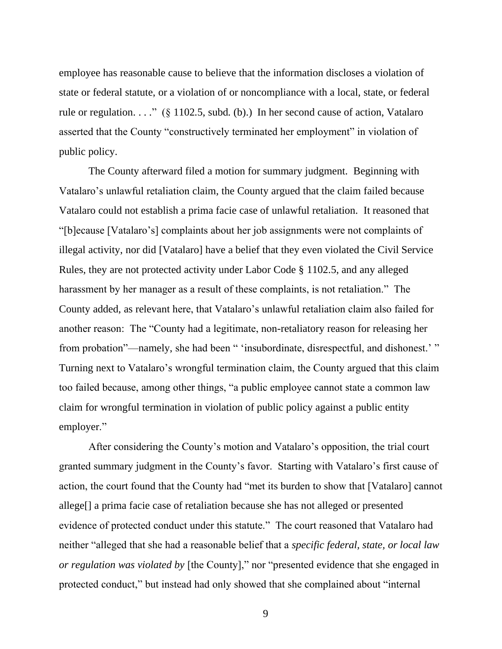employee has reasonable cause to believe that the information discloses a violation of state or federal statute, or a violation of or noncompliance with a local, state, or federal rule or regulation. . . ." (§ 1102.5, subd. (b).) In her second cause of action, Vatalaro asserted that the County "constructively terminated her employment" in violation of public policy.

The County afterward filed a motion for summary judgment. Beginning with Vatalaro's unlawful retaliation claim, the County argued that the claim failed because Vatalaro could not establish a prima facie case of unlawful retaliation. It reasoned that "[b]ecause [Vatalaro's] complaints about her job assignments were not complaints of illegal activity, nor did [Vatalaro] have a belief that they even violated the Civil Service Rules, they are not protected activity under Labor Code § 1102.5, and any alleged harassment by her manager as a result of these complaints, is not retaliation." The County added, as relevant here, that Vatalaro's unlawful retaliation claim also failed for another reason: The "County had a legitimate, non-retaliatory reason for releasing her from probation"—namely, she had been " 'insubordinate, disrespectful, and dishonest.' " Turning next to Vatalaro's wrongful termination claim, the County argued that this claim too failed because, among other things, "a public employee cannot state a common law claim for wrongful termination in violation of public policy against a public entity employer."

After considering the County's motion and Vatalaro's opposition, the trial court granted summary judgment in the County's favor. Starting with Vatalaro's first cause of action, the court found that the County had "met its burden to show that [Vatalaro] cannot allege[] a prima facie case of retaliation because she has not alleged or presented evidence of protected conduct under this statute." The court reasoned that Vatalaro had neither "alleged that she had a reasonable belief that a *specific federal, state, or local law or regulation was violated by* [the County]," nor "presented evidence that she engaged in protected conduct," but instead had only showed that she complained about "internal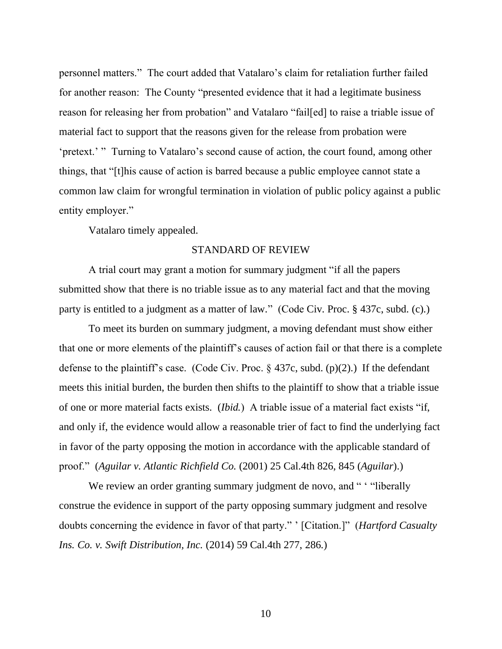personnel matters." The court added that Vatalaro's claim for retaliation further failed for another reason: The County "presented evidence that it had a legitimate business reason for releasing her from probation" and Vatalaro "fail[ed] to raise a triable issue of material fact to support that the reasons given for the release from probation were 'pretext.' " Turning to Vatalaro's second cause of action, the court found, among other things, that "[t]his cause of action is barred because a public employee cannot state a common law claim for wrongful termination in violation of public policy against a public entity employer."

Vatalaro timely appealed.

## STANDARD OF REVIEW

A trial court may grant a motion for summary judgment "if all the papers submitted show that there is no triable issue as to any material fact and that the moving party is entitled to a judgment as a matter of law." (Code Civ. Proc. § 437c, subd. (c).)

To meet its burden on summary judgment, a moving defendant must show either that one or more elements of the plaintiff's causes of action fail or that there is a complete defense to the plaintiff's case. (Code Civ. Proc.  $\S$  437c, subd. (p)(2).) If the defendant meets this initial burden, the burden then shifts to the plaintiff to show that a triable issue of one or more material facts exists. (*Ibid.*) A triable issue of a material fact exists "if, and only if, the evidence would allow a reasonable trier of fact to find the underlying fact in favor of the party opposing the motion in accordance with the applicable standard of proof." (*Aguilar v. Atlantic Richfield Co.* (2001) 25 Cal.4th 826, 845 (*Aguilar*).)

We review an order granting summary judgment de novo, and " "liberally" construe the evidence in support of the party opposing summary judgment and resolve doubts concerning the evidence in favor of that party." ' [Citation.]" (*Hartford Casualty Ins. Co. v. Swift Distribution, Inc.* (2014) 59 Cal.4th 277, 286.)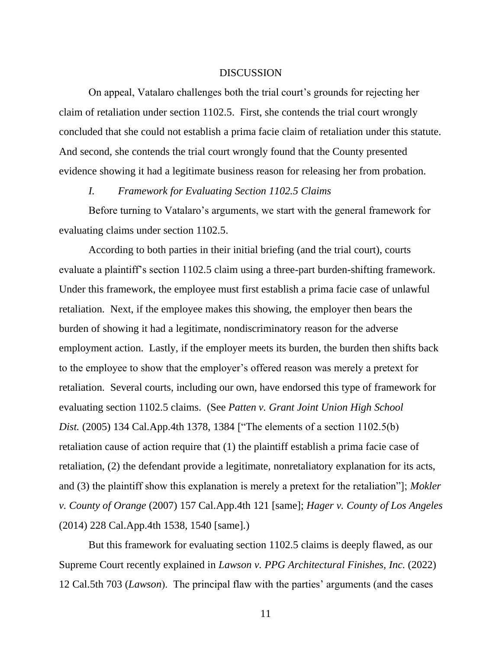### DISCUSSION

On appeal, Vatalaro challenges both the trial court's grounds for rejecting her claim of retaliation under section 1102.5. First, she contends the trial court wrongly concluded that she could not establish a prima facie claim of retaliation under this statute. And second, she contends the trial court wrongly found that the County presented evidence showing it had a legitimate business reason for releasing her from probation.

## *I. Framework for Evaluating Section 1102.5 Claims*

Before turning to Vatalaro's arguments, we start with the general framework for evaluating claims under section 1102.5.

According to both parties in their initial briefing (and the trial court), courts evaluate a plaintiff's section 1102.5 claim using a three-part burden-shifting framework. Under this framework, the employee must first establish a prima facie case of unlawful retaliation. Next, if the employee makes this showing, the employer then bears the burden of showing it had a legitimate, nondiscriminatory reason for the adverse employment action. Lastly, if the employer meets its burden, the burden then shifts back to the employee to show that the employer's offered reason was merely a pretext for retaliation. Several courts, including our own, have endorsed this type of framework for evaluating section 1102.5 claims. (See *Patten v. Grant Joint Union High School Dist.* (2005) 134 Cal.App.4th 1378, 1384 ["The elements of a section 1102.5(b) retaliation cause of action require that (1) the plaintiff establish a prima facie case of retaliation, (2) the defendant provide a legitimate, nonretaliatory explanation for its acts, and (3) the plaintiff show this explanation is merely a pretext for the retaliation"]; *Mokler v. County of Orange* (2007) 157 Cal.App.4th 121 [same]; *Hager v. County of Los Angeles* (2014) 228 Cal.App.4th 1538, 1540 [same].)

But this framework for evaluating section 1102.5 claims is deeply flawed, as our Supreme Court recently explained in *Lawson v. PPG Architectural Finishes, Inc.* (2022) 12 Cal.5th 703 (*Lawson*). The principal flaw with the parties' arguments (and the cases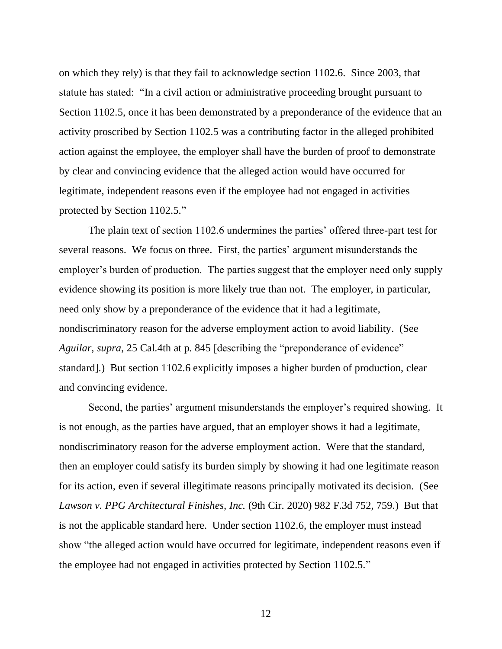on which they rely) is that they fail to acknowledge section 1102.6. Since 2003, that statute has stated: "In a civil action or administrative proceeding brought pursuant to Section 1102.5, once it has been demonstrated by a preponderance of the evidence that an activity proscribed by Section 1102.5 was a contributing factor in the alleged prohibited action against the employee, the employer shall have the burden of proof to demonstrate by clear and convincing evidence that the alleged action would have occurred for legitimate, independent reasons even if the employee had not engaged in activities protected by Section 1102.5."

The plain text of section 1102.6 undermines the parties' offered three-part test for several reasons. We focus on three. First, the parties' argument misunderstands the employer's burden of production. The parties suggest that the employer need only supply evidence showing its position is more likely true than not. The employer, in particular, need only show by a preponderance of the evidence that it had a legitimate, nondiscriminatory reason for the adverse employment action to avoid liability. (See *Aguilar, supra*, 25 Cal.4th at p. 845 [describing the "preponderance of evidence" standard].) But section 1102.6 explicitly imposes a higher burden of production, clear and convincing evidence.

Second, the parties' argument misunderstands the employer's required showing. It is not enough, as the parties have argued, that an employer shows it had a legitimate, nondiscriminatory reason for the adverse employment action. Were that the standard, then an employer could satisfy its burden simply by showing it had one legitimate reason for its action, even if several illegitimate reasons principally motivated its decision. (See *Lawson v. PPG Architectural Finishes, Inc.* (9th Cir. 2020) 982 F.3d 752, 759.) But that is not the applicable standard here. Under section 1102.6, the employer must instead show "the alleged action would have occurred for legitimate, independent reasons even if the employee had not engaged in activities protected by Section 1102.5."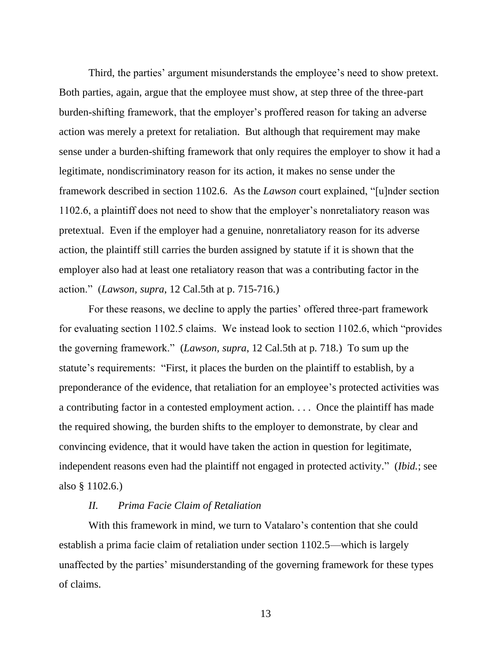Third, the parties' argument misunderstands the employee's need to show pretext. Both parties, again, argue that the employee must show, at step three of the three-part burden-shifting framework, that the employer's proffered reason for taking an adverse action was merely a pretext for retaliation. But although that requirement may make sense under a burden-shifting framework that only requires the employer to show it had a legitimate, nondiscriminatory reason for its action, it makes no sense under the framework described in section 1102.6. As the *Lawson* court explained, "[u]nder section 1102.6, a plaintiff does not need to show that the employer's nonretaliatory reason was pretextual. Even if the employer had a genuine, nonretaliatory reason for its adverse action, the plaintiff still carries the burden assigned by statute if it is shown that the employer also had at least one retaliatory reason that was a contributing factor in the action." (*Lawson, supra*, 12 Cal.5th at p. 715-716.)

For these reasons, we decline to apply the parties' offered three-part framework for evaluating section 1102.5 claims. We instead look to section 1102.6, which "provides the governing framework." (*Lawson, supra*, 12 Cal.5th at p. 718.) To sum up the statute's requirements: "First, it places the burden on the plaintiff to establish, by a preponderance of the evidence, that retaliation for an employee's protected activities was a contributing factor in a contested employment action. . . . Once the plaintiff has made the required showing, the burden shifts to the employer to demonstrate, by clear and convincing evidence, that it would have taken the action in question for legitimate, independent reasons even had the plaintiff not engaged in protected activity." (*Ibid.*; see also § 1102.6.)

## *II. Prima Facie Claim of Retaliation*

With this framework in mind, we turn to Vatalaro's contention that she could establish a prima facie claim of retaliation under section 1102.5—which is largely unaffected by the parties' misunderstanding of the governing framework for these types of claims.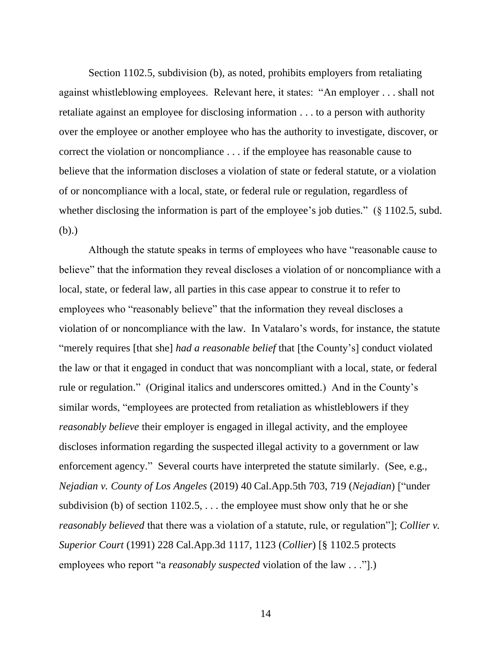Section 1102.5, subdivision (b), as noted, prohibits employers from retaliating against whistleblowing employees. Relevant here, it states: "An employer . . . shall not retaliate against an employee for disclosing information . . . to a person with authority over the employee or another employee who has the authority to investigate, discover, or correct the violation or noncompliance . . . if the employee has reasonable cause to believe that the information discloses a violation of state or federal statute, or a violation of or noncompliance with a local, state, or federal rule or regulation, regardless of whether disclosing the information is part of the employee's job duties." (§ 1102.5, subd. (b).)

Although the statute speaks in terms of employees who have "reasonable cause to believe" that the information they reveal discloses a violation of or noncompliance with a local, state, or federal law, all parties in this case appear to construe it to refer to employees who "reasonably believe" that the information they reveal discloses a violation of or noncompliance with the law. In Vatalaro's words, for instance, the statute "merely requires [that she] *had a reasonable belief* that [the County's] conduct violated the law or that it engaged in conduct that was noncompliant with a local, state, or federal rule or regulation." (Original italics and underscores omitted.) And in the County's similar words, "employees are protected from retaliation as whistleblowers if they *reasonably believe* their employer is engaged in illegal activity, and the employee discloses information regarding the suspected illegal activity to a government or law enforcement agency." Several courts have interpreted the statute similarly. (See, e.g., *Nejadian v. County of Los Angeles* (2019) 40 Cal.App.5th 703, 719 (*Nejadian*) ["under subdivision (b) of section  $1102.5$ , ... the employee must show only that he or she *reasonably believed* that there was a violation of a statute, rule, or regulation"]; *Collier v. Superior Court* (1991) 228 Cal.App.3d 1117, 1123 (*Collier*) [§ 1102.5 protects employees who report "a *reasonably suspected* violation of the law . . ."].)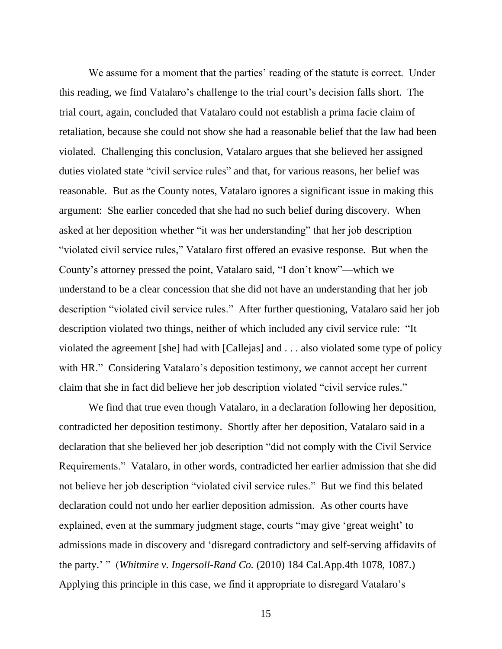We assume for a moment that the parties' reading of the statute is correct. Under this reading, we find Vatalaro's challenge to the trial court's decision falls short. The trial court, again, concluded that Vatalaro could not establish a prima facie claim of retaliation, because she could not show she had a reasonable belief that the law had been violated. Challenging this conclusion, Vatalaro argues that she believed her assigned duties violated state "civil service rules" and that, for various reasons, her belief was reasonable. But as the County notes, Vatalaro ignores a significant issue in making this argument: She earlier conceded that she had no such belief during discovery. When asked at her deposition whether "it was her understanding" that her job description "violated civil service rules," Vatalaro first offered an evasive response. But when the County's attorney pressed the point, Vatalaro said, "I don't know"—which we understand to be a clear concession that she did not have an understanding that her job description "violated civil service rules." After further questioning, Vatalaro said her job description violated two things, neither of which included any civil service rule: "It violated the agreement [she] had with [Callejas] and . . . also violated some type of policy with HR." Considering Vatalaro's deposition testimony, we cannot accept her current claim that she in fact did believe her job description violated "civil service rules."

We find that true even though Vatalaro, in a declaration following her deposition, contradicted her deposition testimony. Shortly after her deposition, Vatalaro said in a declaration that she believed her job description "did not comply with the Civil Service Requirements." Vatalaro, in other words, contradicted her earlier admission that she did not believe her job description "violated civil service rules." But we find this belated declaration could not undo her earlier deposition admission. As other courts have explained, even at the summary judgment stage, courts "may give 'great weight' to admissions made in discovery and 'disregard contradictory and self-serving affidavits of the party.' " (*Whitmire v. Ingersoll-Rand Co.* (2010) 184 Cal.App.4th 1078, 1087.) Applying this principle in this case, we find it appropriate to disregard Vatalaro's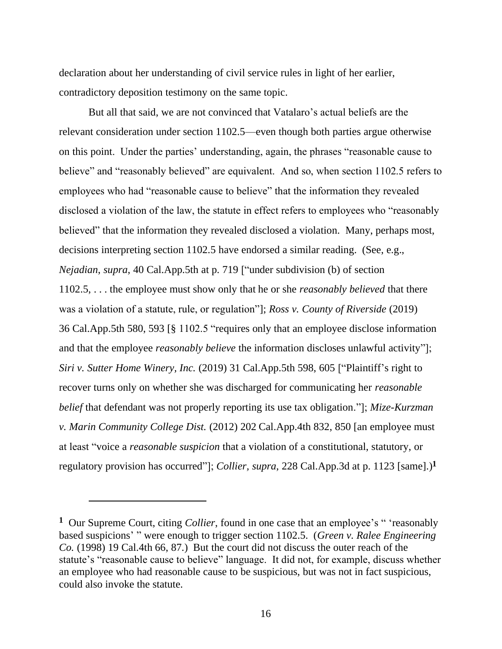declaration about her understanding of civil service rules in light of her earlier, contradictory deposition testimony on the same topic.

But all that said, we are not convinced that Vatalaro's actual beliefs are the relevant consideration under section 1102.5—even though both parties argue otherwise on this point. Under the parties' understanding, again, the phrases "reasonable cause to believe" and "reasonably believed" are equivalent. And so, when section 1102.5 refers to employees who had "reasonable cause to believe" that the information they revealed disclosed a violation of the law, the statute in effect refers to employees who "reasonably believed" that the information they revealed disclosed a violation. Many, perhaps most, decisions interpreting section 1102.5 have endorsed a similar reading. (See, e.g., *Nejadian*, *supra*, 40 Cal.App.5th at p. 719 ["under subdivision (b) of section 1102.5, . . . the employee must show only that he or she *reasonably believed* that there was a violation of a statute, rule, or regulation"]; *Ross v. County of Riverside* (2019) 36 Cal.App.5th 580, 593 [§ 1102.5 "requires only that an employee disclose information and that the employee *reasonably believe* the information discloses unlawful activity"]; *Siri v. Sutter Home Winery, Inc.* (2019) 31 Cal.App.5th 598, 605 ["Plaintiff's right to recover turns only on whether she was discharged for communicating her *reasonable belief* that defendant was not properly reporting its use tax obligation."]; *Mize-Kurzman v. Marin Community College Dist.* (2012) 202 Cal.App.4th 832, 850 [an employee must at least "voice a *reasonable suspicion* that a violation of a constitutional, statutory, or regulatory provision has occurred"]; *Collier, supra*, 228 Cal.App.3d at p. 1123 [same].)**<sup>1</sup>**

**<sup>1</sup>** Our Supreme Court, citing *Collier*, found in one case that an employee's " 'reasonably based suspicions' " were enough to trigger section 1102.5. (*Green v. Ralee Engineering Co.* (1998) 19 Cal.4th 66, 87.) But the court did not discuss the outer reach of the statute's "reasonable cause to believe" language. It did not, for example, discuss whether an employee who had reasonable cause to be suspicious, but was not in fact suspicious, could also invoke the statute.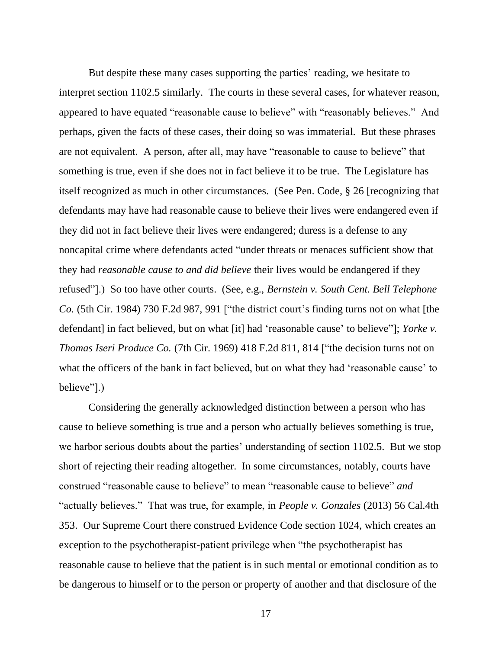But despite these many cases supporting the parties' reading, we hesitate to interpret section 1102.5 similarly. The courts in these several cases, for whatever reason, appeared to have equated "reasonable cause to believe" with "reasonably believes." And perhaps, given the facts of these cases, their doing so was immaterial. But these phrases are not equivalent. A person, after all, may have "reasonable to cause to believe" that something is true, even if she does not in fact believe it to be true. The Legislature has itself recognized as much in other circumstances. (See Pen. Code, § 26 [recognizing that defendants may have had reasonable cause to believe their lives were endangered even if they did not in fact believe their lives were endangered; duress is a defense to any noncapital crime where defendants acted "under threats or menaces sufficient show that they had *reasonable cause to and did believe* their lives would be endangered if they refused"].) So too have other courts. (See, e.g., *Bernstein v. South Cent. Bell Telephone Co.* (5th Cir. 1984) 730 F.2d 987, 991 ["the district court's finding turns not on what [the defendant] in fact believed, but on what [it] had 'reasonable cause' to believe'']; *Yorke v. Thomas Iseri Produce Co.* (7th Cir. 1969) 418 F.2d 811, 814 ["the decision turns not on what the officers of the bank in fact believed, but on what they had 'reasonable cause' to believe"].)

Considering the generally acknowledged distinction between a person who has cause to believe something is true and a person who actually believes something is true, we harbor serious doubts about the parties' understanding of section 1102.5. But we stop short of rejecting their reading altogether. In some circumstances, notably, courts have construed "reasonable cause to believe" to mean "reasonable cause to believe" *and*  "actually believes." That was true, for example, in *People v. Gonzales* (2013) 56 Cal.4th 353. Our Supreme Court there construed Evidence Code section 1024, which creates an exception to the psychotherapist-patient privilege when "the psychotherapist has reasonable cause to believe that the patient is in such mental or emotional condition as to be dangerous to himself or to the person or property of another and that disclosure of the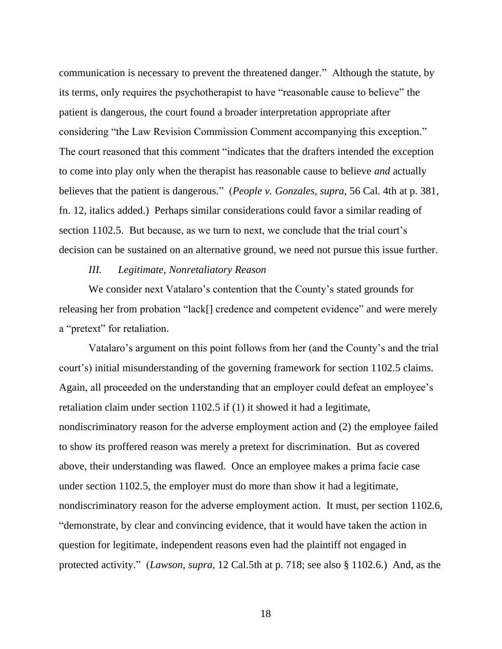communication is necessary to prevent the threatened danger." Although the statute, by its terms, only requires the psychotherapist to have "reasonable cause to believe" the patient is dangerous, the court found a broader interpretation appropriate after considering "the Law Revision Commission Comment accompanying this exception." The court reasoned that this comment "indicates that the drafters intended the exception to come into play only when the therapist has reasonable cause to believe *and* actually believes that the patient is dangerous." (*People v. Gonzales*, *supra*, 56 Cal. 4th at p. 381, fn. 12, italics added.) Perhaps similar considerations could favor a similar reading of section 1102.5. But because, as we turn to next, we conclude that the trial court's decision can be sustained on an alternative ground, we need not pursue this issue further.

#### *III. Legitimate, Nonretaliatory Reason*

We consider next Vatalaro's contention that the County's stated grounds for releasing her from probation "lack[] credence and competent evidence" and were merely a "pretext" for retaliation.

Vatalaro's argument on this point follows from her (and the County's and the trial court's) initial misunderstanding of the governing framework for section 1102.5 claims. Again, all proceeded on the understanding that an employer could defeat an employee's retaliation claim under section 1102.5 if (1) it showed it had a legitimate, nondiscriminatory reason for the adverse employment action and (2) the employee failed to show its proffered reason was merely a pretext for discrimination. But as covered above, their understanding was flawed. Once an employee makes a prima facie case under section 1102.5, the employer must do more than show it had a legitimate, nondiscriminatory reason for the adverse employment action. It must, per section 1102.6, "demonstrate, by clear and convincing evidence, that it would have taken the action in question for legitimate, independent reasons even had the plaintiff not engaged in protected activity." (*Lawson, supra*, 12 Cal.5th at p. 718; see also § 1102.6.) And, as the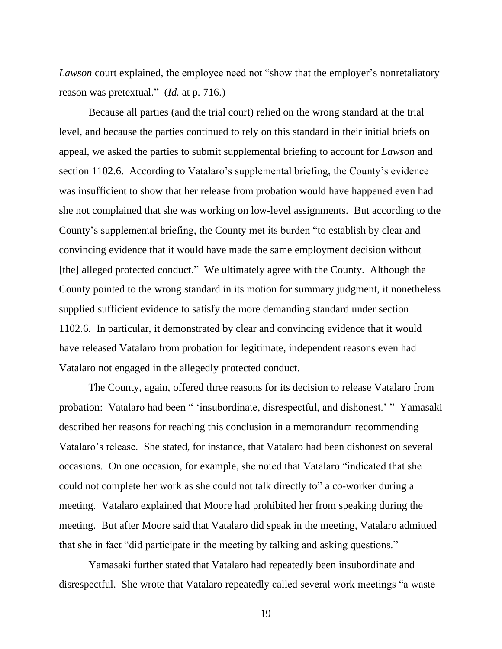*Lawson* court explained, the employee need not "show that the employer's nonretaliatory reason was pretextual." (*Id.* at p. 716.)

Because all parties (and the trial court) relied on the wrong standard at the trial level, and because the parties continued to rely on this standard in their initial briefs on appeal, we asked the parties to submit supplemental briefing to account for *Lawson* and section 1102.6. According to Vatalaro's supplemental briefing, the County's evidence was insufficient to show that her release from probation would have happened even had she not complained that she was working on low-level assignments. But according to the County's supplemental briefing, the County met its burden "to establish by clear and convincing evidence that it would have made the same employment decision without [the] alleged protected conduct." We ultimately agree with the County. Although the County pointed to the wrong standard in its motion for summary judgment, it nonetheless supplied sufficient evidence to satisfy the more demanding standard under section 1102.6. In particular, it demonstrated by clear and convincing evidence that it would have released Vatalaro from probation for legitimate, independent reasons even had Vatalaro not engaged in the allegedly protected conduct.

The County, again, offered three reasons for its decision to release Vatalaro from probation: Vatalaro had been " 'insubordinate, disrespectful, and dishonest.' " Yamasaki described her reasons for reaching this conclusion in a memorandum recommending Vatalaro's release. She stated, for instance, that Vatalaro had been dishonest on several occasions. On one occasion, for example, she noted that Vatalaro "indicated that she could not complete her work as she could not talk directly to" a co-worker during a meeting. Vatalaro explained that Moore had prohibited her from speaking during the meeting. But after Moore said that Vatalaro did speak in the meeting, Vatalaro admitted that she in fact "did participate in the meeting by talking and asking questions."

Yamasaki further stated that Vatalaro had repeatedly been insubordinate and disrespectful. She wrote that Vatalaro repeatedly called several work meetings "a waste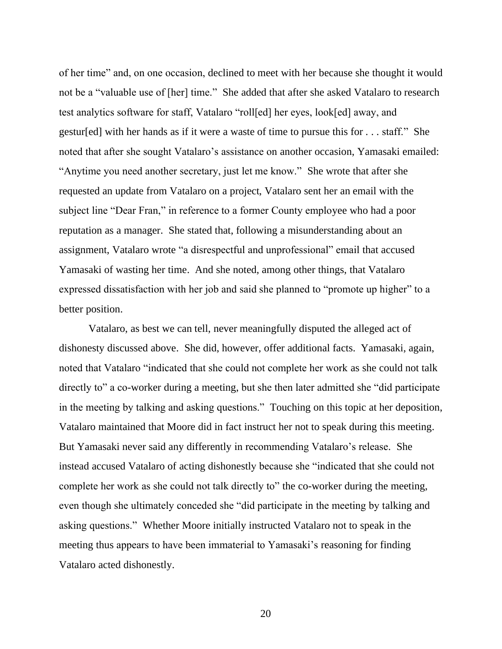of her time" and, on one occasion, declined to meet with her because she thought it would not be a "valuable use of [her] time." She added that after she asked Vatalaro to research test analytics software for staff, Vatalaro "roll[ed] her eyes, look[ed] away, and gestur[ed] with her hands as if it were a waste of time to pursue this for . . . staff." She noted that after she sought Vatalaro's assistance on another occasion, Yamasaki emailed: "Anytime you need another secretary, just let me know." She wrote that after she requested an update from Vatalaro on a project, Vatalaro sent her an email with the subject line "Dear Fran," in reference to a former County employee who had a poor reputation as a manager. She stated that, following a misunderstanding about an assignment, Vatalaro wrote "a disrespectful and unprofessional" email that accused Yamasaki of wasting her time. And she noted, among other things, that Vatalaro expressed dissatisfaction with her job and said she planned to "promote up higher" to a better position.

Vatalaro, as best we can tell, never meaningfully disputed the alleged act of dishonesty discussed above. She did, however, offer additional facts. Yamasaki, again, noted that Vatalaro "indicated that she could not complete her work as she could not talk directly to" a co-worker during a meeting, but she then later admitted she "did participate" in the meeting by talking and asking questions." Touching on this topic at her deposition, Vatalaro maintained that Moore did in fact instruct her not to speak during this meeting. But Yamasaki never said any differently in recommending Vatalaro's release. She instead accused Vatalaro of acting dishonestly because she "indicated that she could not complete her work as she could not talk directly to" the co-worker during the meeting, even though she ultimately conceded she "did participate in the meeting by talking and asking questions." Whether Moore initially instructed Vatalaro not to speak in the meeting thus appears to have been immaterial to Yamasaki's reasoning for finding Vatalaro acted dishonestly.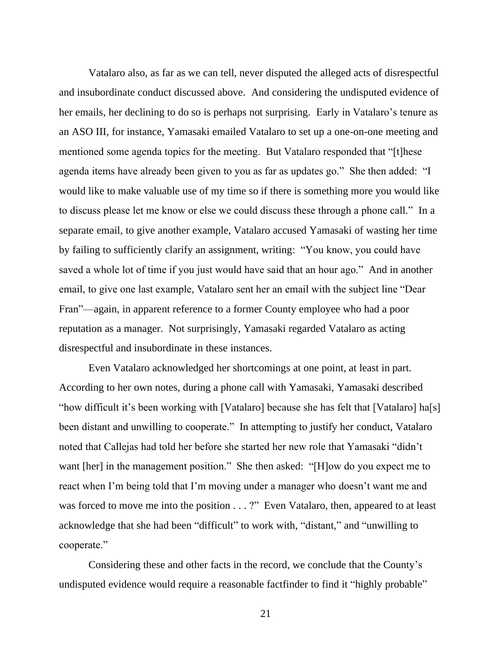Vatalaro also, as far as we can tell, never disputed the alleged acts of disrespectful and insubordinate conduct discussed above. And considering the undisputed evidence of her emails, her declining to do so is perhaps not surprising. Early in Vatalaro's tenure as an ASO III, for instance, Yamasaki emailed Vatalaro to set up a one-on-one meeting and mentioned some agenda topics for the meeting. But Vatalaro responded that "[t]hese agenda items have already been given to you as far as updates go." She then added: "I would like to make valuable use of my time so if there is something more you would like to discuss please let me know or else we could discuss these through a phone call." In a separate email, to give another example, Vatalaro accused Yamasaki of wasting her time by failing to sufficiently clarify an assignment, writing: "You know, you could have saved a whole lot of time if you just would have said that an hour ago." And in another email, to give one last example, Vatalaro sent her an email with the subject line "Dear Fran"—again, in apparent reference to a former County employee who had a poor reputation as a manager. Not surprisingly, Yamasaki regarded Vatalaro as acting disrespectful and insubordinate in these instances.

Even Vatalaro acknowledged her shortcomings at one point, at least in part. According to her own notes, during a phone call with Yamasaki, Yamasaki described "how difficult it's been working with [Vatalaro] because she has felt that [Vatalaro] ha[s] been distant and unwilling to cooperate." In attempting to justify her conduct, Vatalaro noted that Callejas had told her before she started her new role that Yamasaki "didn't want [her] in the management position." She then asked: "[H]ow do you expect me to react when I'm being told that I'm moving under a manager who doesn't want me and was forced to move me into the position . . . ?" Even Vatalaro, then, appeared to at least acknowledge that she had been "difficult" to work with, "distant," and "unwilling to cooperate."

Considering these and other facts in the record, we conclude that the County's undisputed evidence would require a reasonable factfinder to find it "highly probable"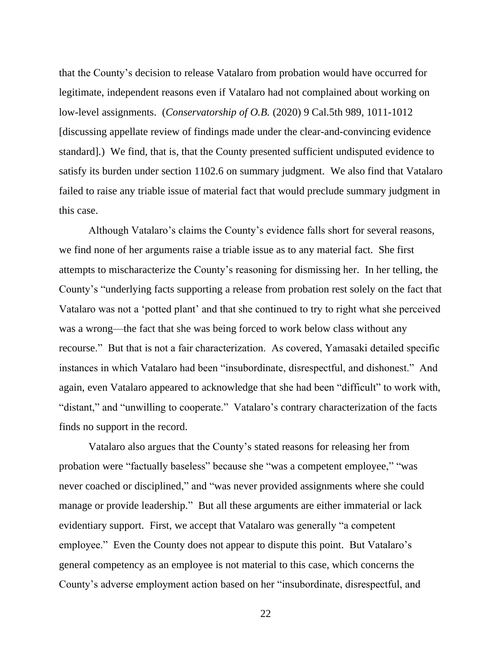that the County's decision to release Vatalaro from probation would have occurred for legitimate, independent reasons even if Vatalaro had not complained about working on low-level assignments. (*Conservatorship of O.B.* (2020) 9 Cal.5th 989, 1011-1012 [discussing appellate review of findings made under the clear-and-convincing evidence standard].) We find, that is, that the County presented sufficient undisputed evidence to satisfy its burden under section 1102.6 on summary judgment. We also find that Vatalaro failed to raise any triable issue of material fact that would preclude summary judgment in this case.

Although Vatalaro's claims the County's evidence falls short for several reasons, we find none of her arguments raise a triable issue as to any material fact. She first attempts to mischaracterize the County's reasoning for dismissing her. In her telling, the County's "underlying facts supporting a release from probation rest solely on the fact that Vatalaro was not a 'potted plant' and that she continued to try to right what she perceived was a wrong—the fact that she was being forced to work below class without any recourse." But that is not a fair characterization. As covered, Yamasaki detailed specific instances in which Vatalaro had been "insubordinate, disrespectful, and dishonest." And again, even Vatalaro appeared to acknowledge that she had been "difficult" to work with, "distant," and "unwilling to cooperate." Vatalaro's contrary characterization of the facts finds no support in the record.

Vatalaro also argues that the County's stated reasons for releasing her from probation were "factually baseless" because she "was a competent employee," "was never coached or disciplined," and "was never provided assignments where she could manage or provide leadership." But all these arguments are either immaterial or lack evidentiary support. First, we accept that Vatalaro was generally "a competent employee." Even the County does not appear to dispute this point. But Vatalaro's general competency as an employee is not material to this case, which concerns the County's adverse employment action based on her "insubordinate, disrespectful, and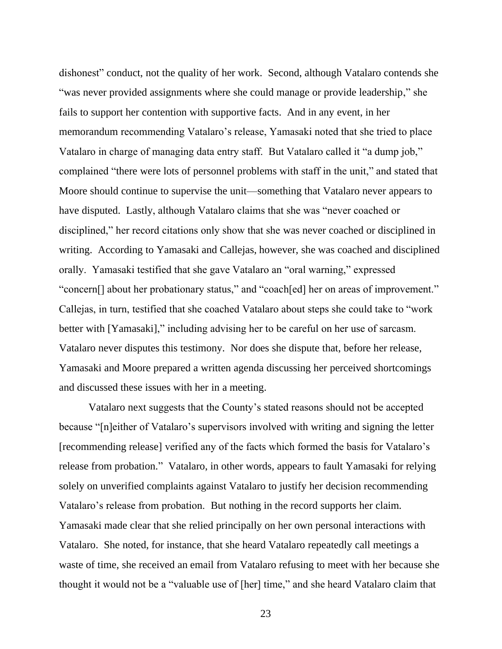dishonest" conduct, not the quality of her work. Second, although Vatalaro contends she "was never provided assignments where she could manage or provide leadership," she fails to support her contention with supportive facts. And in any event, in her memorandum recommending Vatalaro's release, Yamasaki noted that she tried to place Vatalaro in charge of managing data entry staff. But Vatalaro called it "a dump job," complained "there were lots of personnel problems with staff in the unit," and stated that Moore should continue to supervise the unit—something that Vatalaro never appears to have disputed. Lastly, although Vatalaro claims that she was "never coached or disciplined," her record citations only show that she was never coached or disciplined in writing. According to Yamasaki and Callejas, however, she was coached and disciplined orally. Yamasaki testified that she gave Vatalaro an "oral warning," expressed "concern[] about her probationary status," and "coach[ed] her on areas of improvement." Callejas, in turn, testified that she coached Vatalaro about steps she could take to "work better with [Yamasaki]," including advising her to be careful on her use of sarcasm. Vatalaro never disputes this testimony. Nor does she dispute that, before her release, Yamasaki and Moore prepared a written agenda discussing her perceived shortcomings and discussed these issues with her in a meeting.

Vatalaro next suggests that the County's stated reasons should not be accepted because "[n]either of Vatalaro's supervisors involved with writing and signing the letter [recommending release] verified any of the facts which formed the basis for Vatalaro's release from probation." Vatalaro, in other words, appears to fault Yamasaki for relying solely on unverified complaints against Vatalaro to justify her decision recommending Vatalaro's release from probation. But nothing in the record supports her claim. Yamasaki made clear that she relied principally on her own personal interactions with Vatalaro. She noted, for instance, that she heard Vatalaro repeatedly call meetings a waste of time, she received an email from Vatalaro refusing to meet with her because she thought it would not be a "valuable use of [her] time," and she heard Vatalaro claim that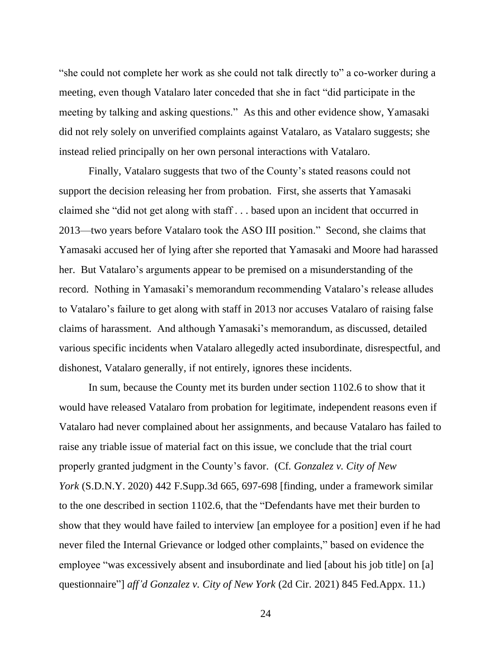"she could not complete her work as she could not talk directly to" a co-worker during a meeting, even though Vatalaro later conceded that she in fact "did participate in the meeting by talking and asking questions." As this and other evidence show, Yamasaki did not rely solely on unverified complaints against Vatalaro, as Vatalaro suggests; she instead relied principally on her own personal interactions with Vatalaro.

Finally, Vatalaro suggests that two of the County's stated reasons could not support the decision releasing her from probation. First, she asserts that Yamasaki claimed she "did not get along with staff . . . based upon an incident that occurred in 2013—two years before Vatalaro took the ASO III position." Second, she claims that Yamasaki accused her of lying after she reported that Yamasaki and Moore had harassed her. But Vatalaro's arguments appear to be premised on a misunderstanding of the record. Nothing in Yamasaki's memorandum recommending Vatalaro's release alludes to Vatalaro's failure to get along with staff in 2013 nor accuses Vatalaro of raising false claims of harassment. And although Yamasaki's memorandum, as discussed, detailed various specific incidents when Vatalaro allegedly acted insubordinate, disrespectful, and dishonest, Vatalaro generally, if not entirely, ignores these incidents.

In sum, because the County met its burden under section 1102.6 to show that it would have released Vatalaro from probation for legitimate, independent reasons even if Vatalaro had never complained about her assignments, and because Vatalaro has failed to raise any triable issue of material fact on this issue, we conclude that the trial court properly granted judgment in the County's favor. (Cf. *Gonzalez v. City of New York* (S.D.N.Y. 2020) 442 F.Supp.3d 665, 697-698 [finding, under a framework similar to the one described in section 1102.6, that the "Defendants have met their burden to show that they would have failed to interview [an employee for a position] even if he had never filed the Internal Grievance or lodged other complaints," based on evidence the employee "was excessively absent and insubordinate and lied [about his job title] on [a] questionnaire"] *aff'd Gonzalez v. City of New York* (2d Cir. 2021) 845 Fed.Appx. 11.)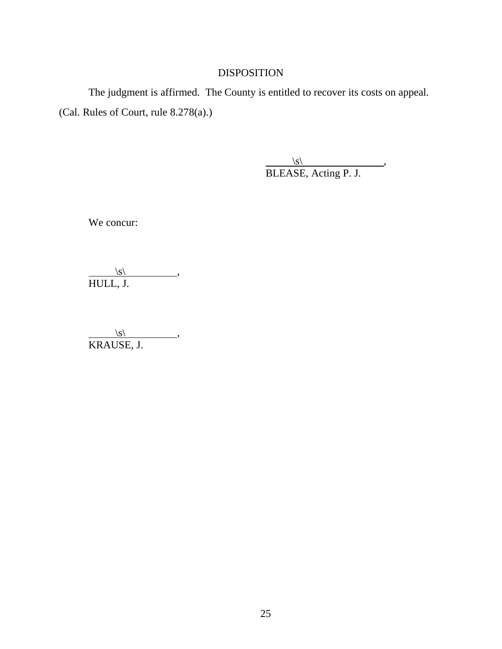# DISPOSITION

The judgment is affirmed. The County is entitled to recover its costs on appeal. (Cal. Rules of Court, rule 8.278(a).)

> $\vert s \vert$ , , BLEASE, Acting P. J.

We concur:

 $\vert s \vert$ , HULL, J.

 $\langle s \rangle$ , KRAUSE, J.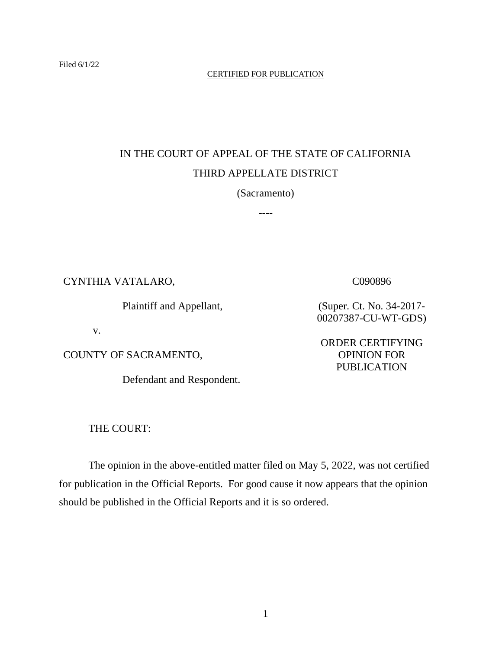### CERTIFIED FOR PUBLICATION

# IN THE COURT OF APPEAL OF THE STATE OF CALIFORNIA THIRD APPELLATE DISTRICT

(Sacramento)

----

CYNTHIA VATALARO,

Plaintiff and Appellant,

v.

COUNTY OF SACRAMENTO,

Defendant and Respondent.

(Super. Ct. No. 34-2017- 00207387-CU-WT-GDS)

C090896

ORDER CERTIFYING OPINION FOR PUBLICATION

THE COURT:

The opinion in the above-entitled matter filed on May 5, 2022, was not certified for publication in the Official Reports. For good cause it now appears that the opinion should be published in the Official Reports and it is so ordered.